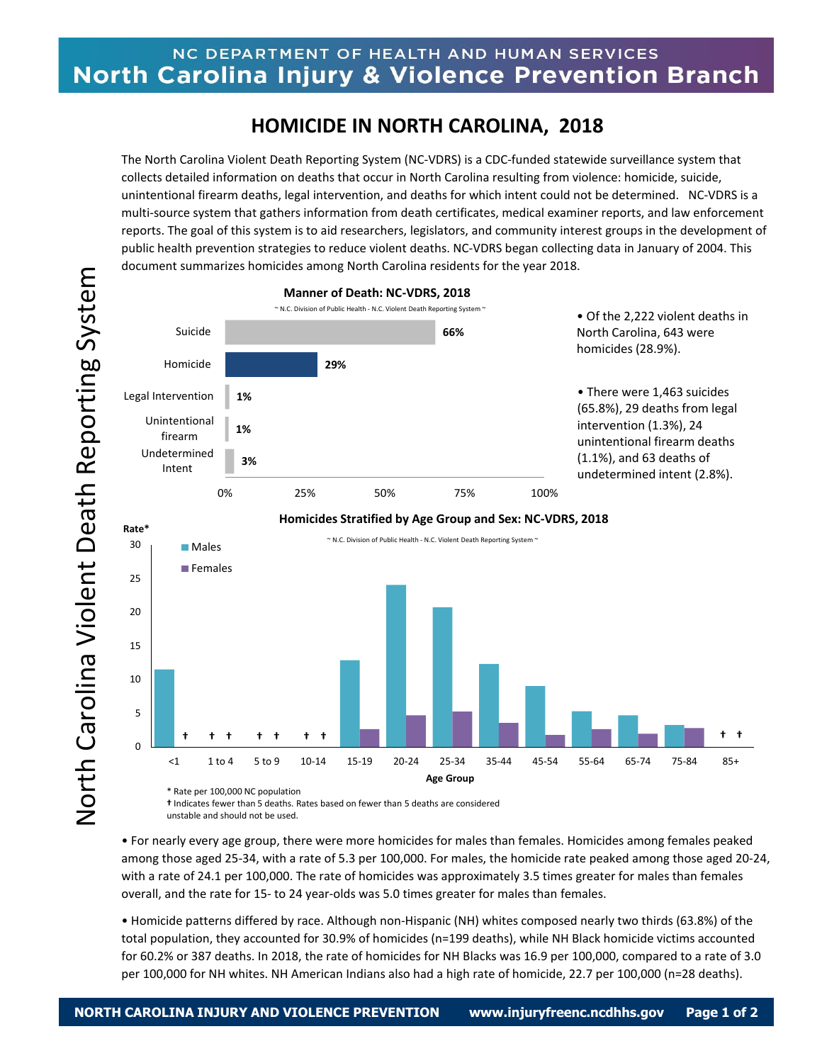## NC DEPARTMENT OF HEALTH AND HUMAN SERVICES **North Carolina Injury & Violence Prevention Branch**

## **HOMICIDE IN NORTH CAROLINA, 2018**

The North Carolina Violent Death Reporting System (NC-VDRS) is a CDC-funded statewide surveillance system that collects detailed information on deaths that occur in North Carolina resulting from violence: homicide, suicide, unintentional firearm deaths, legal intervention, and deaths for which intent could not be determined. NC-VDRS is a multi-source system that gathers information from death certificates, medical examiner reports, and law enforcement reports. The goal of this system is to aid researchers, legislators, and community interest groups in the development of public health prevention strategies to reduce violent deaths. NC-VDRS began collecting data in January of 2004. This document summarizes homicides among North Carolina residents for the year 2018.



**†** Indicates fewer than 5 deaths. Rates based on fewer than 5 deaths are considered unstable and should not be used.

• For nearly every age group, there were more homicides for males than females. Homicides among females peaked among those aged 25-34, with a rate of 5.3 per 100,000. For males, the homicide rate peaked among those aged 20-24, with a rate of 24.1 per 100,000. The rate of homicides was approximately 3.5 times greater for males than females overall, and the rate for 15- to 24 year-olds was 5.0 times greater for males than females.

• Homicide patterns differed by race. Although non-Hispanic (NH) whites composed nearly two thirds (63.8%) of the total population, they accounted for 30.9% of homicides (n=199 deaths), while NH Black homicide victims accounted for 60.2% or 387 deaths. In 2018, the rate of homicides for NH Blacks was 16.9 per 100,000, compared to a rate of 3.0 per 100,000 for NH whites. NH American Indians also had a high rate of homicide, 22.7 per 100,000 (n=28 deaths).